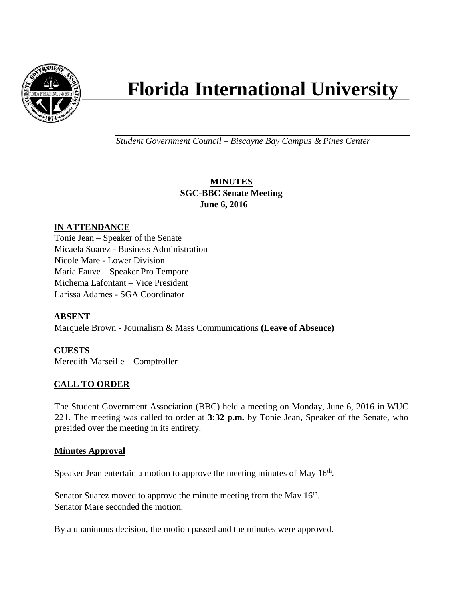

# **Florida International University**

*Student Government Council – Biscayne Bay Campus & Pines Center*

# **MINUTES SGC-BBC Senate Meeting June 6, 2016**

# **IN ATTENDANCE**

Tonie Jean – Speaker of the Senate Micaela Suarez - Business Administration Nicole Mare - Lower Division Maria Fauve – Speaker Pro Tempore Michema Lafontant – Vice President Larissa Adames - SGA Coordinator

# **ABSENT**

Marquele Brown - Journalism & Mass Communications **(Leave of Absence)**

# **GUESTS**

Meredith Marseille – Comptroller

# **CALL TO ORDER**

The Student Government Association (BBC) held a meeting on Monday, June 6, 2016 in WUC 221**.** The meeting was called to order at **3:32 p.m.** by Tonie Jean, Speaker of the Senate, who presided over the meeting in its entirety.

#### **Minutes Approval**

Speaker Jean entertain a motion to approve the meeting minutes of May  $16<sup>th</sup>$ .

Senator Suarez moved to approve the minute meeting from the May  $16<sup>th</sup>$ . Senator Mare seconded the motion.

By a unanimous decision, the motion passed and the minutes were approved.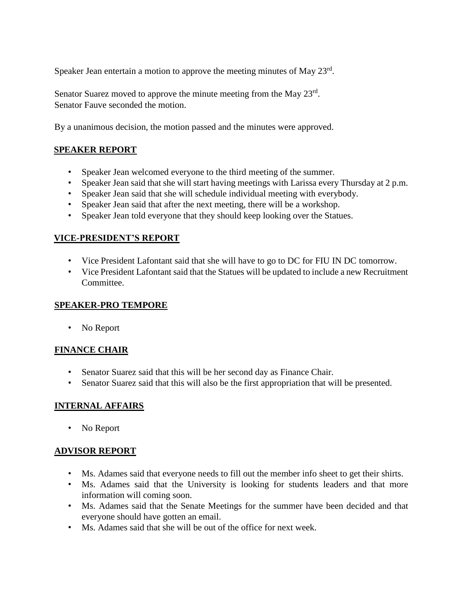Speaker Jean entertain a motion to approve the meeting minutes of May  $23<sup>rd</sup>$ .

Senator Suarez moved to approve the minute meeting from the May 23<sup>rd</sup>. Senator Fauve seconded the motion.

By a unanimous decision, the motion passed and the minutes were approved.

# **SPEAKER REPORT**

- Speaker Jean welcomed everyone to the third meeting of the summer.
- Speaker Jean said that she will start having meetings with Larissa every Thursday at 2 p.m.
- Speaker Jean said that she will schedule individual meeting with everybody.
- Speaker Jean said that after the next meeting, there will be a workshop.
- Speaker Jean told everyone that they should keep looking over the Statues.

# **VICE-PRESIDENT'S REPORT**

- Vice President Lafontant said that she will have to go to DC for FIU IN DC tomorrow.
- Vice President Lafontant said that the Statues will be updated to include a new Recruitment Committee.

# **SPEAKER-PRO TEMPORE**

• No Report

# **FINANCE CHAIR**

- Senator Suarez said that this will be her second day as Finance Chair.
- Senator Suarez said that this will also be the first appropriation that will be presented.

# **INTERNAL AFFAIRS**

• No Report

# **ADVISOR REPORT**

- Ms. Adames said that everyone needs to fill out the member info sheet to get their shirts.
- Ms. Adames said that the University is looking for students leaders and that more information will coming soon.
- Ms. Adames said that the Senate Meetings for the summer have been decided and that everyone should have gotten an email.
- Ms. Adames said that she will be out of the office for next week.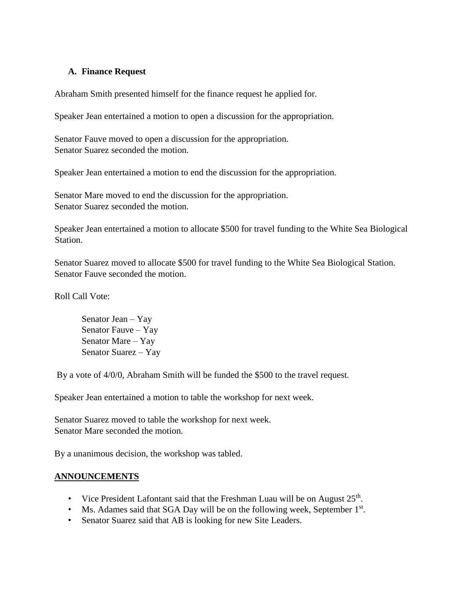#### **A. Finance Request**

Abraham Smith presented himself for the finance request he applied for.

Speaker Jean entertained a motion to open a discussion for the appropriation.

Senator Fauve moved to open a discussion for the appropriation. Senator Suarez seconded the motion.

Speaker Jean entertained a motion to end the discussion for the appropriation.

Senator Mare moved to end the discussion for the appropriation. Senator Suarez seconded the motion.

Speaker Jean entertained a motion to allocate \$500 for travel funding to the White Sea Biological Station.

Senator Suarez moved to allocate \$500 for travel funding to the White Sea Biological Station. Senator Fauve seconded the motion.

Roll Call Vote:

Senator Jean – Yay Senator Fauve – Yay Senator Mare – Yay Senator Suarez – Yay

By a vote of 4/0/0, Abraham Smith will be funded the \$500 to the travel request.

Speaker Jean entertained a motion to table the workshop for next week.

Senator Suarez moved to table the workshop for next week. Senator Mare seconded the motion.

By a unanimous decision, the workshop was tabled.

# **ANNOUNCEMENTS**

- Vice President Lafontant said that the Freshman Luau will be on August  $25<sup>th</sup>$ .
- Ms. Adames said that SGA Day will be on the following week, September 1<sup>st</sup>.
- Senator Suarez said that AB is looking for new Site Leaders.